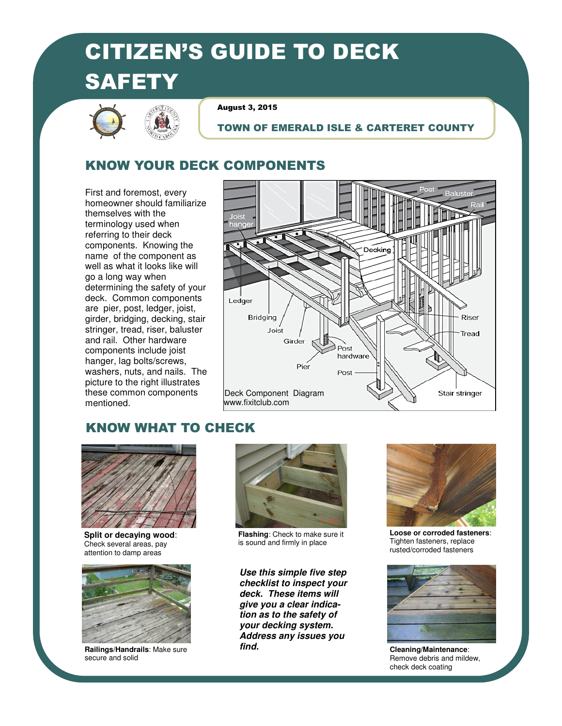# CITIZEN'S GUIDE TO DECK **SAFETY**



August 3, 2015

#### TOWN OF EMERALD ISLE & CARTERET COUNTY

## KNOW YOUR DECK COMPONENTS

First and foremost, every homeowner should familiarize themselves with the terminology used when referring to their deck components. Knowing the name of the component as well as what it looks like will go a long way when determining the safety of your deck. Common components are pier, post, ledger, joist, girder, bridging, decking, stair stringer, tread, riser, baluster and rail. Other hardware components include joist hanger, lag bolts/screws, washers, nuts, and nails. The picture to the right illustrates these common components mentioned.



## KNOW WHAT TO CHECK



**Split or decaying wood**: Check several areas, pay attention to damp areas



**Railings/Handrails**: Make sure secure and solid



**Flashing**: Check to make sure it is sound and firmly in place

**Use this simple five step checklist to inspect your deck. These items will give you a clear indication as to the safety of your decking system. Address any issues you find.** 



**Loose or corroded fasteners**: Tighten fasteners, replace rusted/corroded fasteners



**Cleaning/Maintenance**: Remove debris and mildew, check deck coating